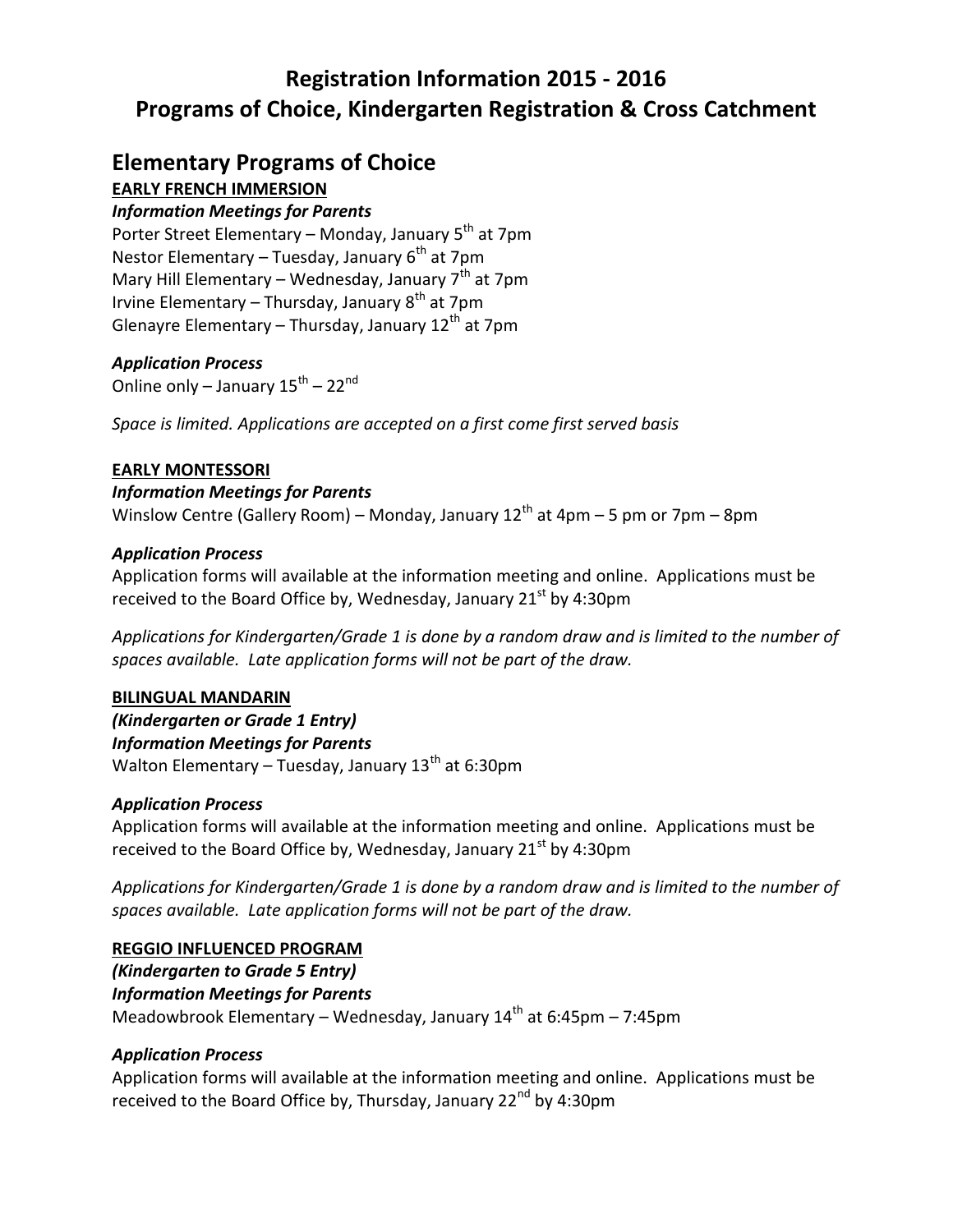## **Registration Information 2015 - 2016 Programs of Choice, Kindergarten Registration & Cross Catchment**

### **Elementary Programs of Choice**

### **EARLY FRENCH IMMERSION**

### *Information Meetings for Parents*

Porter Street Elementary – Monday, January 5<sup>th</sup> at 7pm Nestor Elementary – Tuesday, January  $6<sup>th</sup>$  at 7pm Mary Hill Elementary – Wednesday, January  $7<sup>th</sup>$  at 7pm Irvine Elementary – Thursday, January  $8<sup>th</sup>$  at 7pm Glenayre Elementary – Thursday, January  $12<sup>th</sup>$  at 7pm

### *Application Process*

Online only – January 15<sup>th</sup> – 22<sup>nd</sup>

*Space is limited. Applications are accepted on a first come first served basis*

### **EARLY MONTESSORI**

### *Information Meetings for Parents*

Winslow Centre (Gallery Room) – Monday, January  $12<sup>th</sup>$  at 4pm – 5 pm or 7pm – 8pm

### *Application Process*

Application forms will available at the information meeting and online. Applications must be received to the Board Office by, Wednesday, January  $21^{st}$  by 4:30pm

*Applications for Kindergarten/Grade 1 is done by a random draw and is limited to the number of spaces available. Late application forms will not be part of the draw.*

### **BILINGUAL MANDARIN**

*(Kindergarten or Grade 1 Entry) Information Meetings for Parents* Walton Elementary – Tuesday, January  $13<sup>th</sup>$  at 6:30pm

### *Application Process*

Application forms will available at the information meeting and online. Applications must be received to the Board Office by, Wednesday, January  $21<sup>st</sup>$  by 4:30pm

*Applications for Kindergarten/Grade 1 is done by a random draw and is limited to the number of spaces available. Late application forms will not be part of the draw.*

### **REGGIO INFLUENCED PROGRAM**

*(Kindergarten to Grade 5 Entry) Information Meetings for Parents* Meadowbrook Elementary – Wednesday, January  $14<sup>th</sup>$  at 6:45pm – 7:45pm

### *Application Process*

Application forms will available at the information meeting and online. Applications must be received to the Board Office by, Thursday, January  $22^{nd}$  by 4:30pm